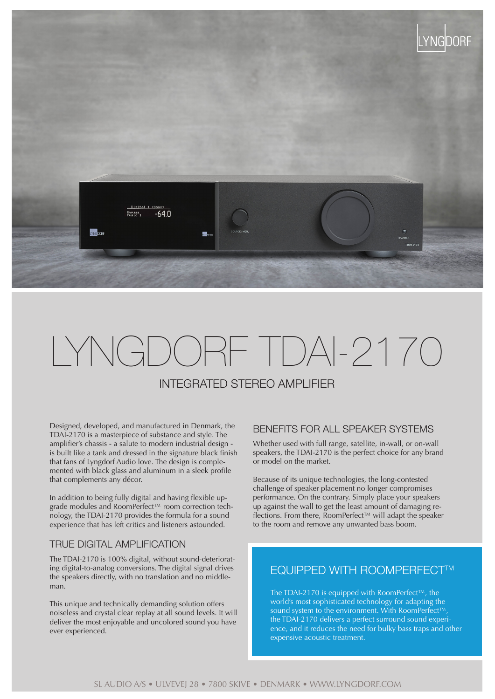

# LYNGDORF TDAI-2170

# INTEGRATED STEREO AMPLIFIER

Designed, developed, and manufactured in Denmark, the TDAI-2170 is a masterpiece of substance and style. The amplifier's chassis - a salute to modern industrial design is built like a tank and dressed in the signature black finish that fans of Lyngdorf Audio love. The design is complemented with black glass and aluminum in a sleek profile that complements any décor.

In addition to being fully digital and having flexible upgrade modules and RoomPerfect™ room correction technology, the TDAI-2170 provides the formula for a sound experience that has left critics and listeners astounded.

#### TRUE DIGITAL AMPLIFICATION

The TDAI-2170 is 100% digital, without sound-deteriorating digital-to-analog conversions. The digital signal drives the speakers directly, with no translation and no middleman.

This unique and technically demanding solution offers noiseless and crystal clear replay at all sound levels. It will deliver the most enjoyable and uncolored sound you have ever experienced.

#### BENEFITS FOR ALL SPEAKER SYSTEMS

Whether used with full range, satellite, in-wall, or on-wall speakers, the TDAI-2170 is the perfect choice for any brand or model on the market.

Because of its unique technologies, the long-contested challenge of speaker placement no longer compromises performance. On the contrary. Simply place your speakers up against the wall to get the least amount of damaging reflections. From there, RoomPerfect™ will adapt the speaker to the room and remove any unwanted bass boom.

## **EQUIPPED WITH ROOMPERFECT™**

The TDAI-2170 is equipped with RoomPerfect™, the world's most sophisticated technology for adapting the sound system to the environment. With RoomPerfect™ the TDAI-2170 delivers a perfect surround sound experience, and it reduces the need for bulky bass traps and other expensive acoustic treatment.